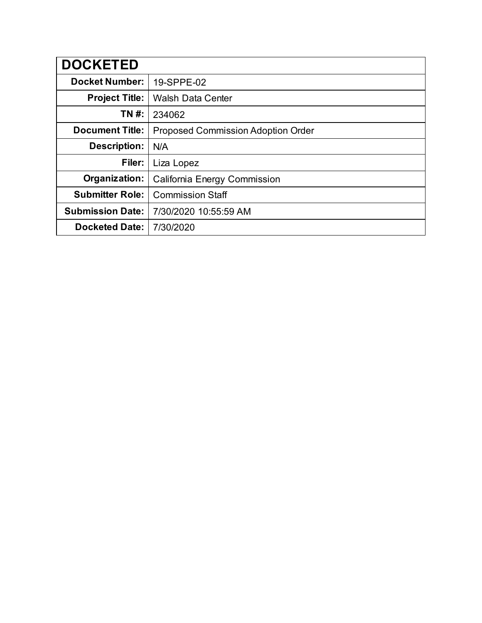| <b>DOCKETED</b>         |                                           |
|-------------------------|-------------------------------------------|
| <b>Docket Number:</b>   | 19-SPPE-02                                |
| <b>Project Title:</b>   | <b>Walsh Data Center</b>                  |
| TN #:                   | 234062                                    |
| <b>Document Title:</b>  | <b>Proposed Commission Adoption Order</b> |
| Description:            | N/A                                       |
| Filer:                  | Liza Lopez                                |
| Organization:           | California Energy Commission              |
| <b>Submitter Role:</b>  | <b>Commission Staff</b>                   |
| <b>Submission Date:</b> | 7/30/2020 10:55:59 AM                     |
| <b>Docketed Date:</b>   | 7/30/2020                                 |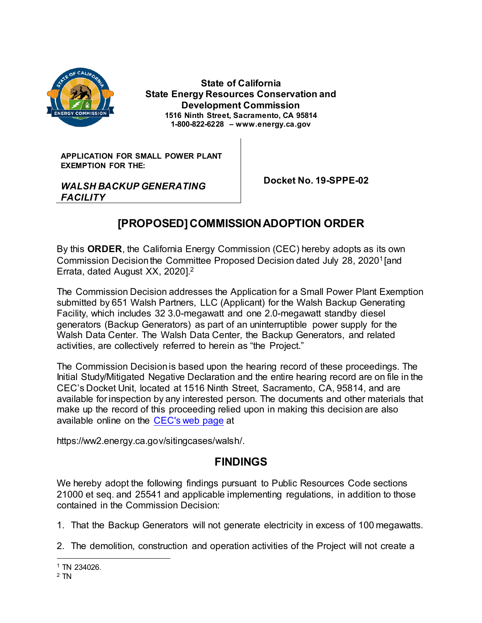

**State of California State Energy Resources Conservation and Development Commission 1516 Ninth Street, Sacramento, CA 95814 1-800-822-6228 – www.energy.ca.gov**

**APPLICATION FOR SMALL POWER PLANT EXEMPTION FOR THE:**

 **Docket No. 19-SPPE-02**

### *WALSH BACKUP GENERATING FACILITY*

# **[PROPOSED] COMMISSION ADOPTION ORDER**

By this **ORDER**, the California Energy Commission (CEC) hereby adopts as its own Commission Decision the Committee Proposed Decision dated July 28, 2020<sup>1</sup> [and Errata, dated August XX, 2020]. 2

The Commission Decision addresses the Application for a Small Power Plant Exemption submitted by 651 Walsh Partners, LLC (Applicant) for the Walsh Backup Generating Facility, which includes 32 3.0-megawatt and one 2.0-megawatt standby diesel generators (Backup Generators) as part of an uninterruptible power supply for the Walsh Data Center. The Walsh Data Center, the Backup Generators, and related activities, are collectively referred to herein as "the Project."

The Commission Decision is based upon the hearing record of these proceedings. The Initial Study/Mitigated Negative Declaration and the entire hearing record are on file in the CEC's Docket Unit, located at 1516 Ninth Street, Sacramento, CA, 95814, and are available for inspection by any interested person. The documents and other materials that make up the record of this proceeding relied upon in making this decision are also available online on the [CEC's web page](https://ww2.energy.ca.gov/sitingcases/walsh) at

https://ww2.energy.ca.gov/sitingcases/walsh/.

## **FINDINGS**

We hereby adopt the following findings pursuant to Public Resources Code sections 21000 et seq. and 25541 and applicable implementing regulations, in addition to those contained in the Commission Decision:

- 1. That the Backup Generators will not generate electricity in excess of 100 megawatts.
- 2. The demolition, construction and operation activities of the Project will not create a

 $\overline{a}$ <sup>1</sup> TN 234026.